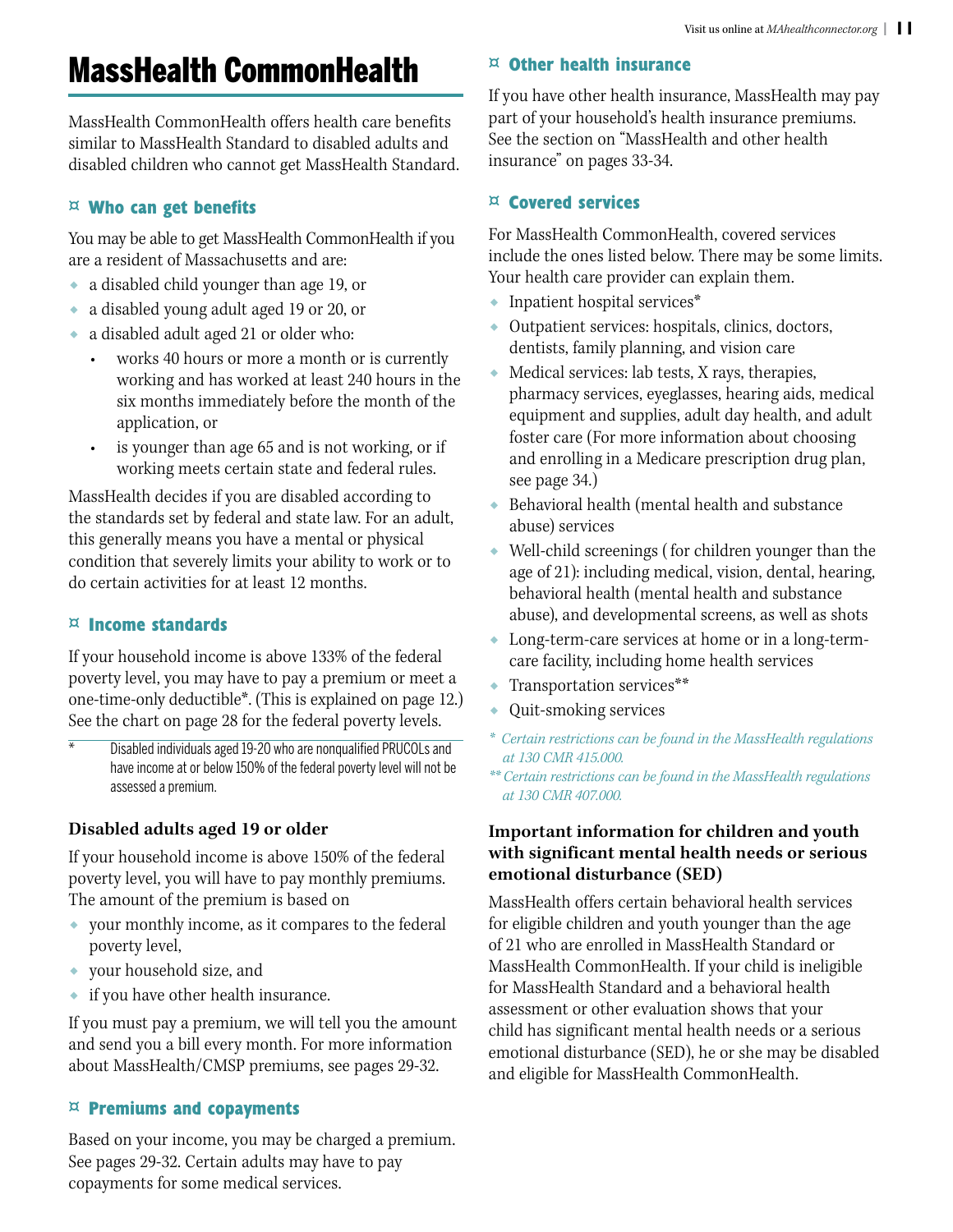# MassHealth CommonHealth

MassHealth CommonHealth offers health care benefits similar to MassHealth Standard to disabled adults and disabled children who cannot get MassHealth Standard.

# **¤ Who can get benefits**

You may be able to get MassHealth CommonHealth if you are a resident of Massachusetts and are:

- ◆ a disabled child younger than age 19, or
- ◆ a disabled young adult aged 19 or 20, or
- ◆ a disabled adult aged 21 or older who:
	- works 40 hours or more a month or is currently working and has worked at least 240 hours in the six months immediately before the month of the application, or
	- is younger than age 65 and is not working, or if working meets certain state and federal rules.

MassHealth decides if you are disabled according to the standards set by federal and state law. For an adult, this generally means you have a mental or physical condition that severely limits your ability to work or to do certain activities for at least 12 months.

# **¤ Income standards**

If your household income is above 133% of the federal poverty level, you may have to pay a premium or meet a one-time-only deductible\*. (This is explained on page 12.) See the chart on page 28 for the federal poverty levels.

Disabled individuals aged 19-20 who are nonqualified PRUCOLs and have income at or below 150% of the federal poverty level will not be assessed a premium.

# **Disabled adults aged 19 or older**

If your household income is above 150% of the federal poverty level, you will have to pay monthly premiums. The amount of the premium is based on

- ◆ your monthly income, as it compares to the federal poverty level,
- your household size, and
- ◆ if you have other health insurance.

If you must pay a premium, we will tell you the amount and send you a bill every month. For more information about MassHealth/CMSP premiums, see pages 29-32.

# **¤ Premiums and copayments**

Based on your income, you may be charged a premium. See pages 29-32. Certain adults may have to pay copayments for some medical services.

# **¤ Other health insurance**

If you have other health insurance, MassHealth may pay part of your household's health insurance premiums. See the section on "MassHealth and other health insurance" on pages 33-34.

# **¤ Covered services**

For MassHealth CommonHealth, covered services include the ones listed below. There may be some limits. Your health care provider can explain them.

- ◆ Inpatient hospital services\*
- ◆ Outpatient services: hospitals, clinics, doctors, dentists, family planning, and vision care
- ◆ Medical services: lab tests, X rays, therapies, pharmacy services, eyeglasses, hearing aids, medical equipment and supplies, adult day health, and adult foster care (For more information about choosing and enrolling in a Medicare prescription drug plan, see page 34.)
- ◆ Behavioral health (mental health and substance abuse) services
- ◆ Well-child screenings ( for children younger than the age of 21): including medical, vision, dental, hearing, behavioral health (mental health and substance abuse), and developmental screens, as well as shots
- ◆ Long-term-care services at home or in a long-termcare facility, including home health services
- ◆ Transportation services\*\*
- ◆ Quit-smoking services
- *\* Certain restrictions can be found in the MassHealth regulations at 130 CMR 415.000.*
- *\*\* Certain restrictions can be found in the MassHealth regulations at 130 CMR 407.000.*

### **Important information for children and youth with significant mental health needs or serious emotional disturbance (SED)**

MassHealth offers certain behavioral health services for eligible children and youth younger than the age of 21 who are enrolled in MassHealth Standard or MassHealth CommonHealth. If your child is ineligible for MassHealth Standard and a behavioral health assessment or other evaluation shows that your child has significant mental health needs or a serious emotional disturbance (SED), he or she may be disabled and eligible for MassHealth CommonHealth.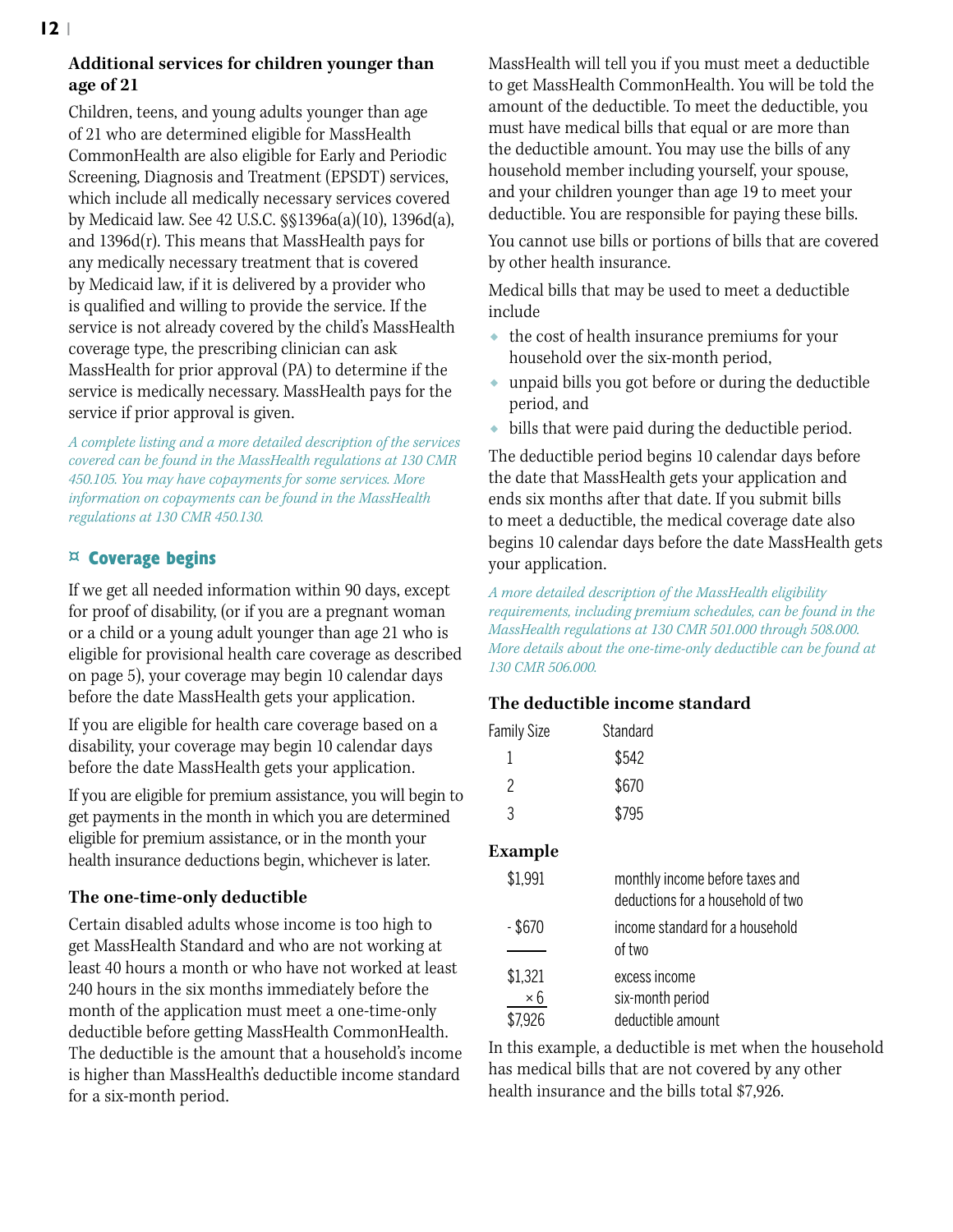# **Additional services for children younger than age of 21**

Children, teens, and young adults younger than age of 21 who are determined eligible for MassHealth CommonHealth are also eligible for Early and Periodic Screening, Diagnosis and Treatment (EPSDT) services, which include all medically necessary services covered by Medicaid law. See 42 U.S.C. §§1396a(a)(10), 1396d(a), and  $1396d(r)$ . This means that MassHealth pays for any medically necessary treatment that is covered by Medicaid law, if it is delivered by a provider who is qualified and willing to provide the service. If the service is not already covered by the child's MassHealth coverage type, the prescribing clinician can ask MassHealth for prior approval (PA) to determine if the service is medically necessary. MassHealth pays for the service if prior approval is given.

*A complete listing and a more detailed description of the services covered can be found in the MassHealth regulations at 130 CMR 450.105. You may have copayments for some services. More information on copayments can be found in the MassHealth regulations at 130 CMR 450.130.*

# **¤ Coverage begins**

If we get all needed information within 90 days, except for proof of disability, (or if you are a pregnant woman or a child or a young adult younger than age 21 who is eligible for provisional health care coverage as described on page 5), your coverage may begin 10 calendar days before the date MassHealth gets your application.

If you are eligible for health care coverage based on a disability, your coverage may begin 10 calendar days before the date MassHealth gets your application.

If you are eligible for premium assistance, you will begin to get payments in the month in which you are determined eligible for premium assistance, or in the month your health insurance deductions begin, whichever is later.

# **The one-time-only deductible**

Certain disabled adults whose income is too high to get MassHealth Standard and who are not working at least 40 hours a month or who have not worked at least 240 hours in the six months immediately before the month of the application must meet a one-time-only deductible before getting MassHealth CommonHealth. The deductible is the amount that a household's income is higher than MassHealth's deductible income standard for a six-month period.

MassHealth will tell you if you must meet a deductible to get MassHealth CommonHealth. You will be told the amount of the deductible. To meet the deductible, you must have medical bills that equal or are more than the deductible amount. You may use the bills of any household member including yourself, your spouse, and your children younger than age 19 to meet your deductible. You are responsible for paying these bills.

You cannot use bills or portions of bills that are covered by other health insurance.

Medical bills that may be used to meet a deductible include

- ◆ the cost of health insurance premiums for your household over the six-month period,
- ◆ unpaid bills you got before or during the deductible period, and
- ◆ bills that were paid during the deductible period.

The deductible period begins 10 calendar days before the date that MassHealth gets your application and ends six months after that date. If you submit bills to meet a deductible, the medical coverage date also begins 10 calendar days before the date MassHealth gets your application.

*A more detailed description of the MassHealth eligibility requirements, including premium schedules, can be found in the MassHealth regulations at 130 CMR 501.000 through 508.000. More details about the one-time-only deductible can be found at 130 CMR 506.000.*

# **The deductible income standard**

| <b>Family Size</b> | Standard |
|--------------------|----------|
|                    | \$542    |
| 2                  | \$670    |
| २                  | \$795    |

#### **Example**

| \$1,991   | monthly income before taxes and<br>deductions for a household of two |
|-----------|----------------------------------------------------------------------|
| $-$ \$670 | income standard for a household<br>of two                            |
|           |                                                                      |
| \$1,321   | excess income                                                        |
| ×б        | six-month period                                                     |
| \$7.926   | deductible amount                                                    |

In this example, a deductible is met when the household has medical bills that are not covered by any other health insurance and the bills total \$7,926.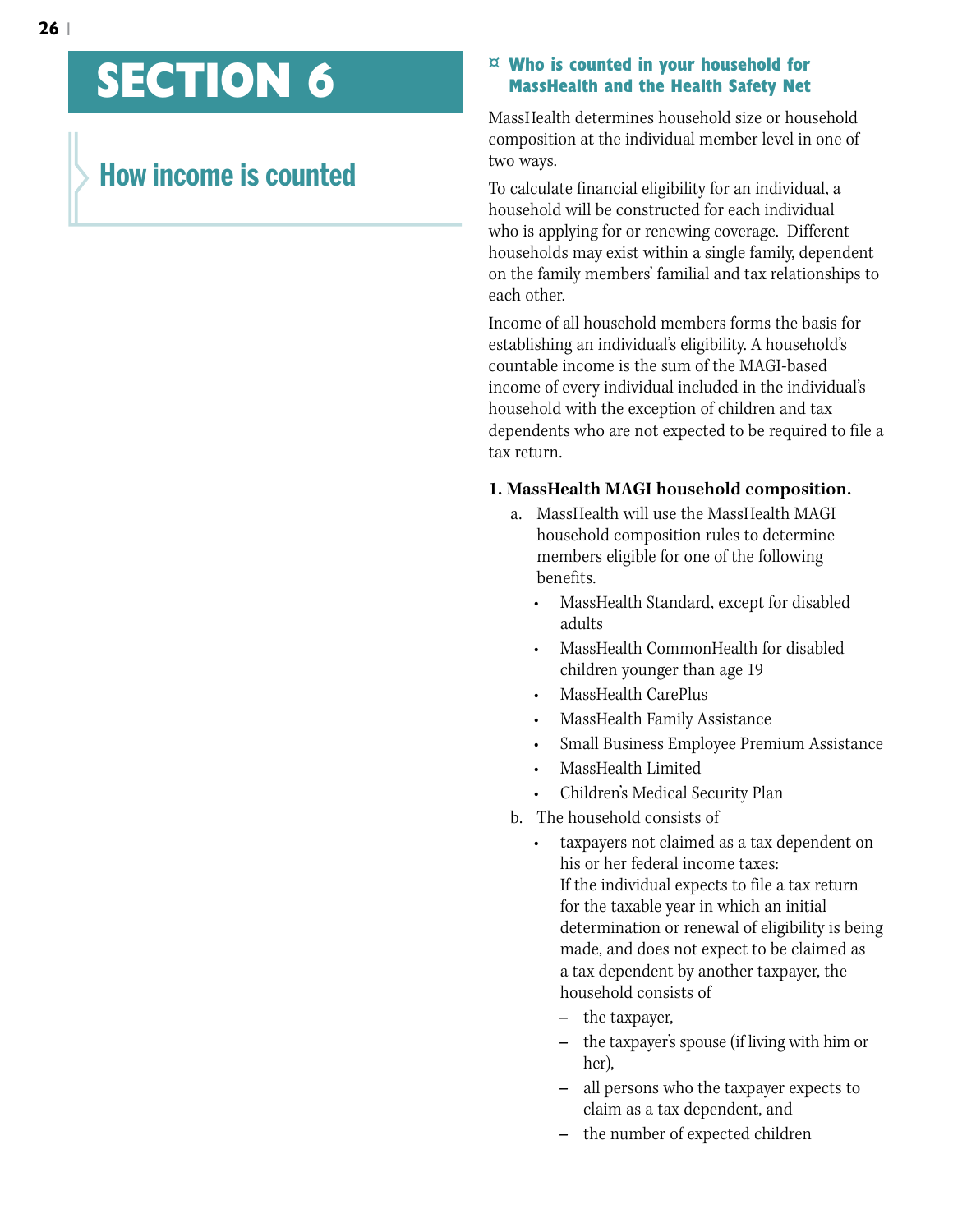# **SECTION 6**

# **How income is counted**

#### **¤ Who is counted in your household for MassHealth and the Health Safety Net**

MassHealth determines household size or household composition at the individual member level in one of two ways.

To calculate financial eligibility for an individual, a household will be constructed for each individual who is applying for or renewing coverage. Different households may exist within a single family, dependent on the family members' familial and tax relationships to each other.

Income of all household members forms the basis for establishing an individual's eligibility. A household's countable income is the sum of the MAGI-based income of every individual included in the individual's household with the exception of children and tax dependents who are not expected to be required to file a tax return.

#### **1. MassHealth MAGI household composition.**

- a. MassHealth will use the MassHealth MAGI household composition rules to determine members eligible for one of the following benefits.
	- MassHealth Standard, except for disabled adults
	- MassHealth CommonHealth for disabled children younger than age 19
	- MassHealth CarePlus
	- MassHealth Family Assistance
	- Small Business Employee Premium Assistance
	- MassHealth Limited
	- Children's Medical Security Plan

b. The household consists of

- taxpayers not claimed as a tax dependent on his or her federal income taxes: If the individual expects to file a tax return for the taxable year in which an initial determination or renewal of eligibility is being made, and does not expect to be claimed as a tax dependent by another taxpayer, the household consists of
	- **–** the taxpayer,
	- **–** the taxpayer's spouse (if living with him or her),
	- **–** all persons who the taxpayer expects to claim as a tax dependent, and
	- **–** the number of expected children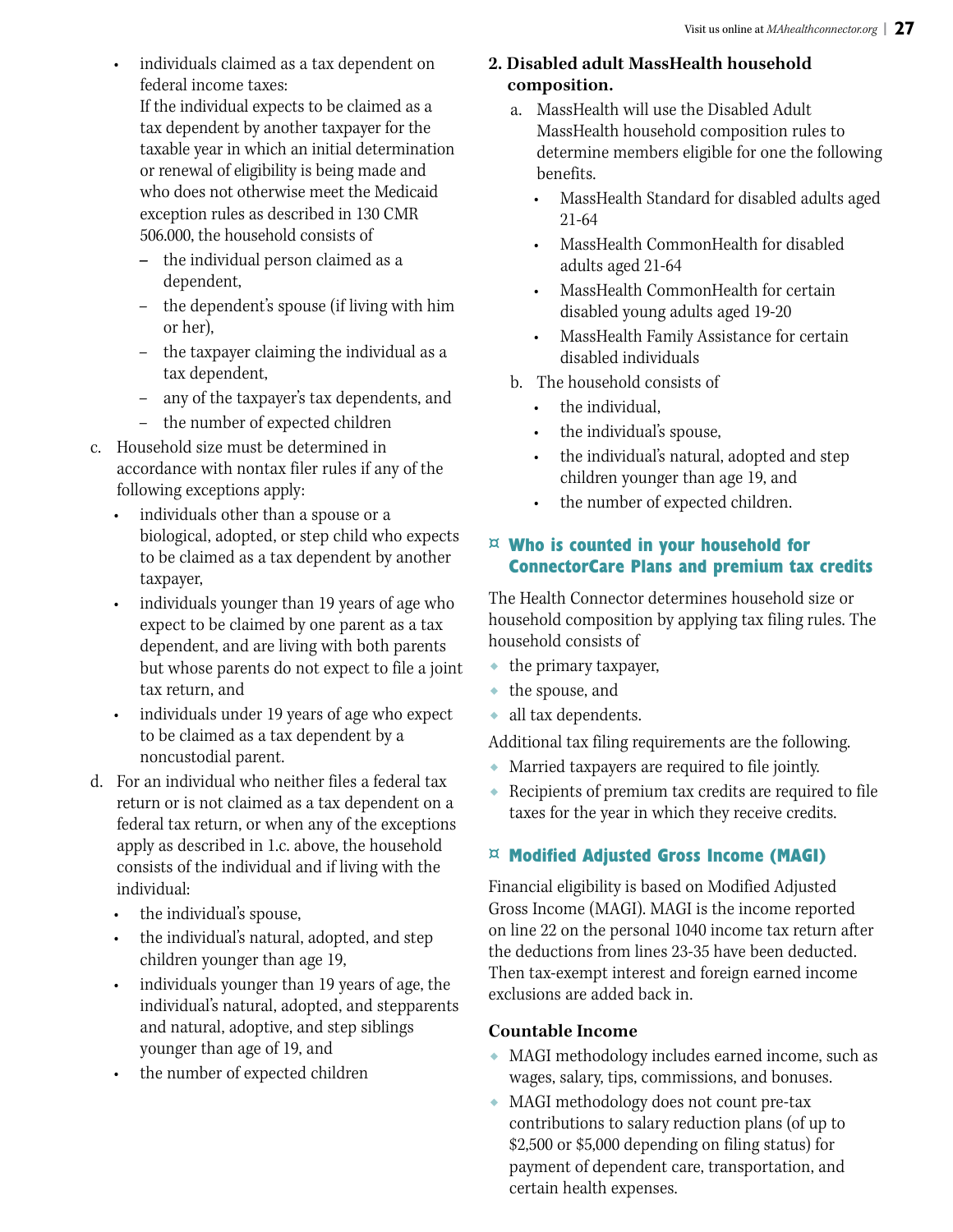individuals claimed as a tax dependent on federal income taxes:

If the individual expects to be claimed as a tax dependent by another taxpayer for the taxable year in which an initial determination or renewal of eligibility is being made and who does not otherwise meet the Medicaid exception rules as described in 130 CMR 506.000, the household consists of

- **–** the individual person claimed as a dependent,
- the dependent's spouse (if living with him or her),
- the taxpayer claiming the individual as a tax dependent,
- any of the taxpayer's tax dependents, and
- the number of expected children
- c. Household size must be determined in accordance with nontax filer rules if any of the following exceptions apply:
	- individuals other than a spouse or a biological, adopted, or step child who expects to be claimed as a tax dependent by another taxpayer,
	- individuals younger than 19 years of age who expect to be claimed by one parent as a tax dependent, and are living with both parents but whose parents do not expect to file a joint tax return, and
	- individuals under 19 years of age who expect to be claimed as a tax dependent by a noncustodial parent.
- d. For an individual who neither files a federal tax return or is not claimed as a tax dependent on a federal tax return, or when any of the exceptions apply as described in 1.c. above, the household consists of the individual and if living with the individual:
	- the individual's spouse,
	- the individual's natural, adopted, and step children younger than age 19,
	- individuals younger than 19 years of age, the individual's natural, adopted, and stepparents and natural, adoptive, and step siblings younger than age of 19, and
	- the number of expected children

# **2. Disabled adult MassHealth household composition.**

- a. MassHealth will use the Disabled Adult MassHealth household composition rules to determine members eligible for one the following benefits.
	- MassHealth Standard for disabled adults aged 21-64
	- MassHealth CommonHealth for disabled adults aged 21-64
	- MassHealth CommonHealth for certain disabled young adults aged 19-20
	- MassHealth Family Assistance for certain disabled individuals
- b. The household consists of
	- the individual,
	- the individual's spouse,
	- the individual's natural, adopted and step children younger than age 19, and
	- the number of expected children.

# **¤ Who is counted in your household for ConnectorCare Plans and premium tax credits**

The Health Connector determines household size or household composition by applying tax filing rules. The household consists of

- ◆ the primary taxpayer,
- ◆ the spouse, and
- ◆ all tax dependents.

Additional tax filing requirements are the following.

- ◆ Married taxpayers are required to file jointly.
- ◆ Recipients of premium tax credits are required to file taxes for the year in which they receive credits.

# **¤ Modified Adjusted Gross Income (MAGI)**

Financial eligibility is based on Modified Adjusted Gross Income (MAGI). MAGI is the income reported on line 22 on the personal 1040 income tax return after the deductions from lines 23-35 have been deducted. Then tax-exempt interest and foreign earned income exclusions are added back in.

# **Countable Income**

- ◆ MAGI methodology includes earned income, such as wages, salary, tips, commissions, and bonuses.
- ◆ MAGI methodology does not count pre-tax contributions to salary reduction plans (of up to \$2,500 or \$5,000 depending on filing status) for payment of dependent care, transportation, and certain health expenses.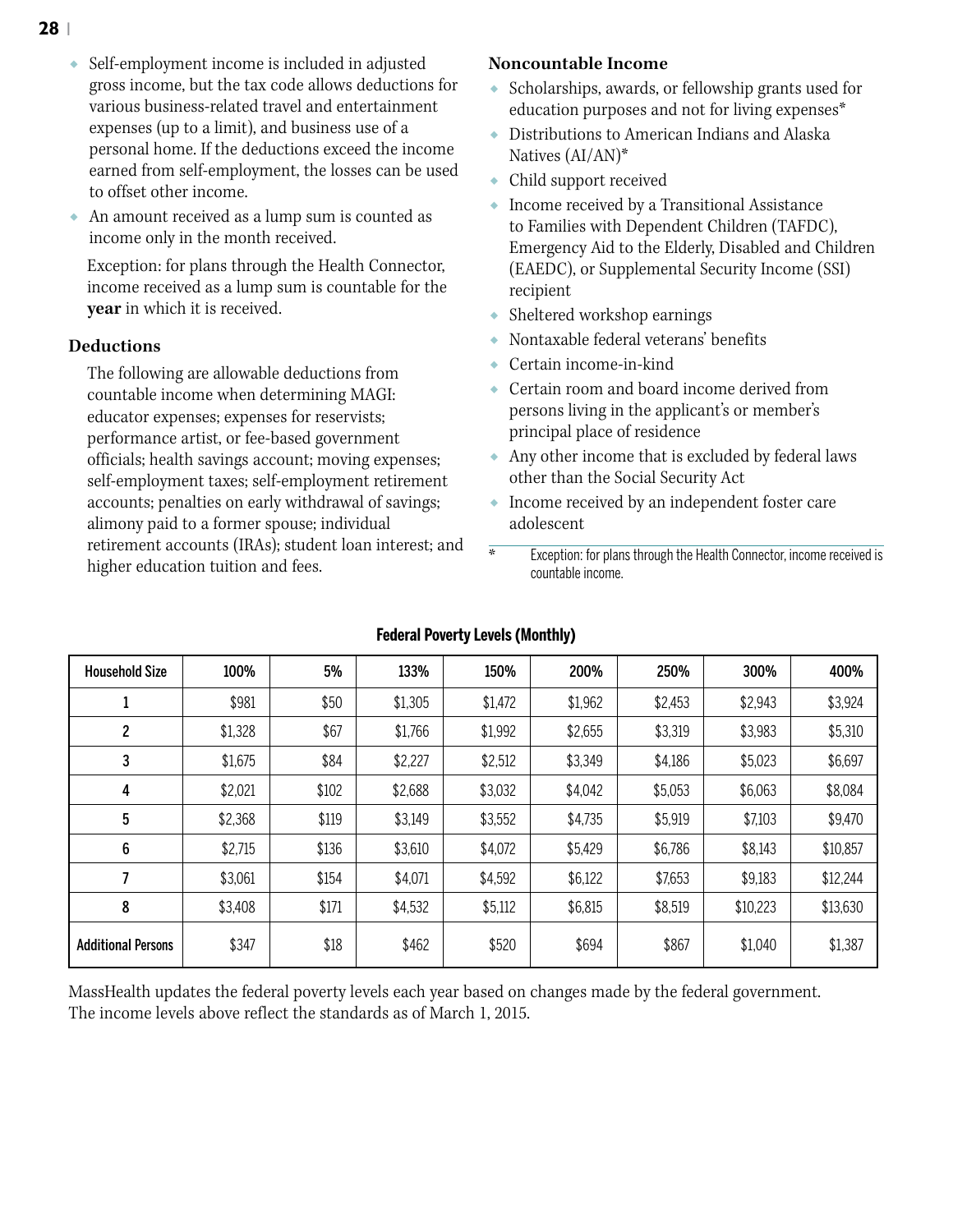- ◆ Self-employment income is included in adjusted gross income, but the tax code allows deductions for various business-related travel and entertainment expenses (up to a limit), and business use of a personal home. If the deductions exceed the income earned from self-employment, the losses can be used to offset other income.
- An amount received as a lump sum is counted as income only in the month received.

Exception: for plans through the Health Connector, income received as a lump sum is countable for the **year** in which it is received.

#### **Deductions**

The following are allowable deductions from countable income when determining MAGI: educator expenses; expenses for reservists; performance artist, or fee-based government officials; health savings account; moving expenses; self-employment taxes; self-employment retirement accounts; penalties on early withdrawal of savings; alimony paid to a former spouse; individual retirement accounts (IRAs); student loan interest; and higher education tuition and fees.

#### **Noncountable Income**

- ◆ Scholarships, awards, or fellowship grants used for education purposes and not for living expenses\*
- $\bullet~$  Distributions to American Indians and Alaska Natives (AI/AN)\*
- ◆ Child support received
- ◆ Income received by a Transitional Assistance to Families with Dependent Children (TAFDC), Emergency Aid to the Elderly, Disabled and Children (EAEDC), or Supplemental Security Income (SSI) recipient
- Sheltered workshop earnings
- ◆ Nontaxable federal veterans' benefits
- Certain income-in-kind
- ◆ Certain room and board income derived from persons living in the applicant's or member's principal place of residence
- ◆ Any other income that is excluded by federal laws other than the Social Security Act
- ◆ Income received by an independent foster care adolescent
- \* Exception: for plans through the Health Connector, income received is countable income.

| <b>Household Size</b>     | 100%    | 5%    | 133%    | 150%    | 200%    | 250%    | 300%     | 400%     |
|---------------------------|---------|-------|---------|---------|---------|---------|----------|----------|
|                           | \$981   | \$50  | \$1,305 | \$1,472 | \$1,962 | \$2,453 | \$2,943  | \$3,924  |
| 2                         | \$1,328 | \$67  | \$1,766 | \$1,992 | \$2,655 | \$3,319 | \$3,983  | \$5,310  |
| 3                         | \$1,675 | \$84  | \$2,227 | \$2,512 | \$3,349 | \$4,186 | \$5,023  | \$6,697  |
| 4                         | \$2,021 | \$102 | \$2,688 | \$3,032 | \$4,042 | \$5,053 | \$6,063  | \$8,084  |
| 5                         | \$2,368 | \$119 | \$3,149 | \$3,552 | \$4,735 | \$5,919 | \$7,103  | \$9,470  |
| 6                         | \$2,715 | \$136 | \$3,610 | \$4,072 | \$5,429 | \$6,786 | \$8,143  | \$10,857 |
| 7                         | \$3,061 | \$154 | \$4,071 | \$4,592 | \$6,122 | \$7,653 | \$9,183  | \$12,244 |
| 8                         | \$3,408 | \$171 | \$4,532 | \$5,112 | \$6,815 | \$8,519 | \$10,223 | \$13,630 |
| <b>Additional Persons</b> | \$347   | \$18  | \$462   | \$520   | \$694   | \$867   | \$1,040  | \$1,387  |

#### **Federal Poverty Levels (Monthly)**

MassHealth updates the federal poverty levels each year based on changes made by the federal government. The income levels above reflect the standards as of March 1, 2015.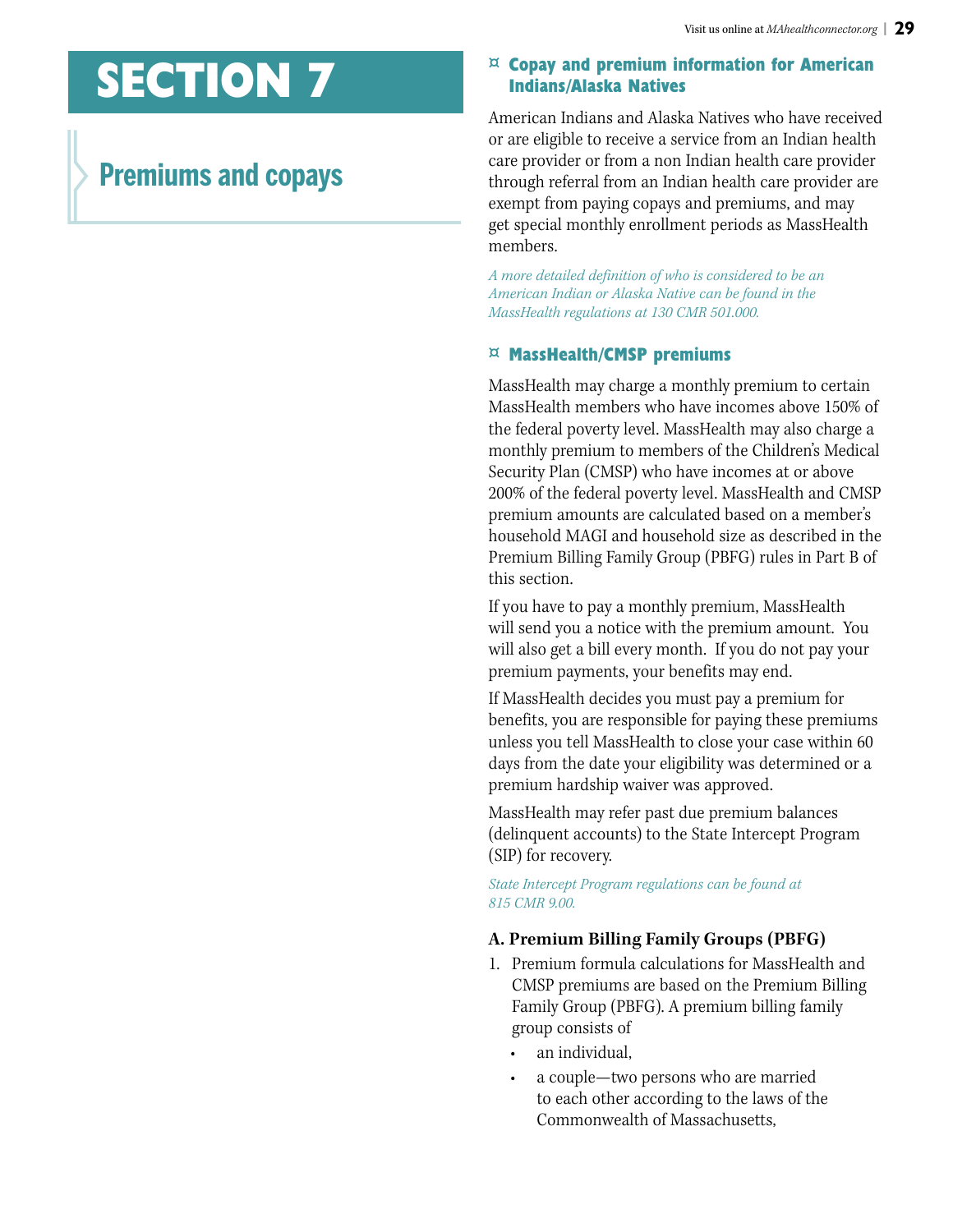# **SECTION 7**

# **Premiums and copays**

### **¤ Copay and premium information for American Indians/Alaska Natives**

American Indians and Alaska Natives who have received or are eligible to receive a service from an Indian health care provider or from a non Indian health care provider through referral from an Indian health care provider are exempt from paying copays and premiums, and may get special monthly enrollment periods as MassHealth members.

*A more detailed definition of who is considered to be an American Indian or Alaska Native can be found in the MassHealth regulations at 130 CMR 501.000.* 

# **¤ MassHealth/CMSP premiums**

MassHealth may charge a monthly premium to certain MassHealth members who have incomes above 150% of the federal poverty level. MassHealth may also charge a monthly premium to members of the Children's Medical Security Plan (CMSP) who have incomes at or above 200% of the federal poverty level. MassHealth and CMSP premium amounts are calculated based on a member's household MAGI and household size as described in the Premium Billing Family Group (PBFG) rules in Part B of this section.

If you have to pay a monthly premium, MassHealth will send you a notice with the premium amount. You will also get a bill every month. If you do not pay your premium payments, your benefits may end.

If MassHealth decides you must pay a premium for benefits, you are responsible for paying these premiums unless you tell MassHealth to close your case within 60 days from the date your eligibility was determined or a premium hardship waiver was approved.

MassHealth may refer past due premium balances (delinquent accounts) to the State Intercept Program (SIP) for recovery.

*State Intercept Program regulations can be found at 815 CMR 9.00.*

# **A. Premium Billing Family Groups (PBFG)**

- 1. Premium formula calculations for MassHealth and CMSP premiums are based on the Premium Billing Family Group (PBFG). A premium billing family group consists of
	- an individual.
	- a couple—two persons who are married to each other according to the laws of the Commonwealth of Massachusetts,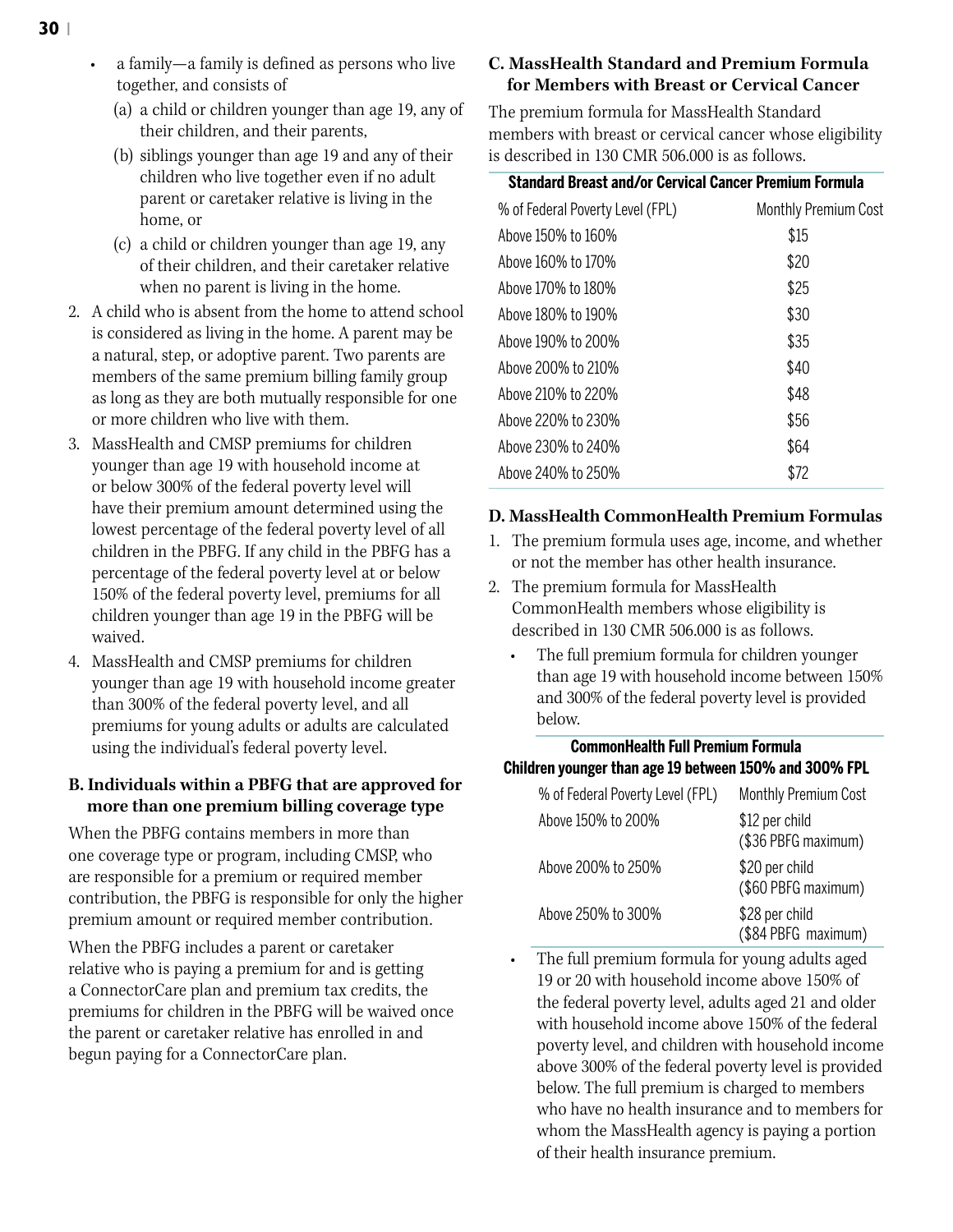- (a) a child or children younger than age 19, any of their children, and their parents,
- (b) siblings younger than age 19 and any of their children who live together even if no adult parent or caretaker relative is living in the home, or
- (c) a child or children younger than age 19, any of their children, and their caretaker relative when no parent is living in the home.
- 2. A child who is absent from the home to attend school is considered as living in the home. A parent may be a natural, step, or adoptive parent. Two parents are members of the same premium billing family group as long as they are both mutually responsible for one or more children who live with them.
- 3. MassHealth and CMSP premiums for children younger than age 19 with household income at or below 300% of the federal poverty level will have their premium amount determined using the lowest percentage of the federal poverty level of all children in the PBFG. If any child in the PBFG has a percentage of the federal poverty level at or below 150% of the federal poverty level, premiums for all children younger than age 19 in the PBFG will be waived.
- 4. MassHealth and CMSP premiums for children younger than age 19 with household income greater than 300% of the federal poverty level, and all premiums for young adults or adults are calculated using the individual's federal poverty level.

# **B. Individuals within a PBFG that are approved for more than one premium billing coverage type**

When the PBFG contains members in more than one coverage type or program, including CMSP, who are responsible for a premium or required member contribution, the PBFG is responsible for only the higher premium amount or required member contribution.

When the PBFG includes a parent or caretaker relative who is paying a premium for and is getting a ConnectorCare plan and premium tax credits, the premiums for children in the PBFG will be waived once the parent or caretaker relative has enrolled in and begun paying for a ConnectorCare plan.

# **C. MassHealth Standard and Premium Formula for Members with Breast or Cervical Cancer**

The premium formula for MassHealth Standard members with breast or cervical cancer whose eligibility is described in 130 CMR 506.000 is as follows.

| <b>Standard Breast and/or Cervical Cancer Premium Formula</b> |                             |
|---------------------------------------------------------------|-----------------------------|
| % of Federal Poverty Level (FPL)                              | <b>Monthly Premium Cost</b> |
| Above 150% to 160%                                            | \$15                        |
| Above 160% to 170%                                            | \$20                        |
| Above 170% to 180%                                            | \$25                        |
| Above 180% to 190%                                            | \$30                        |
| Above 190% to 200%                                            | \$35                        |
| Above 200% to 210%                                            | \$40                        |
| Above 210% to 220%                                            | \$48                        |
| Above 220% to 230%                                            | \$56                        |
| Above 230% to 240%                                            | \$64                        |
| Above 240% to 250%                                            | \$72                        |

# **D. MassHealth CommonHealth Premium Formulas**

- 1. The premium formula uses age, income, and whether or not the member has other health insurance.
- 2. The premium formula for MassHealth CommonHealth members whose eligibility is described in 130 CMR 506.000 is as follows.
	- The full premium formula for children younger than age 19 with household income between 150% and 300% of the federal poverty level is provided below.

# **CommonHealth Full Premium Formula Children younger than age 19 between 150% and 300% FPL**

| % of Federal Poverty Level (FPL) | Monthly Premium Cost                  |
|----------------------------------|---------------------------------------|
| Above 150% to 200%               | \$12 per child<br>(\$36 PBFG maximum) |
| Above 200% to 250%               | \$20 per child<br>(\$60 PBFG maximum) |
| Above 250% to 300%               | \$28 per child<br>(\$84 PBFG maximum) |

• The full premium formula for young adults aged 19 or 20 with household income above 150% of the federal poverty level, adults aged 21 and older with household income above 150% of the federal poverty level, and children with household income above 300% of the federal poverty level is provided below. The full premium is charged to members who have no health insurance and to members for whom the MassHealth agency is paying a portion of their health insurance premium.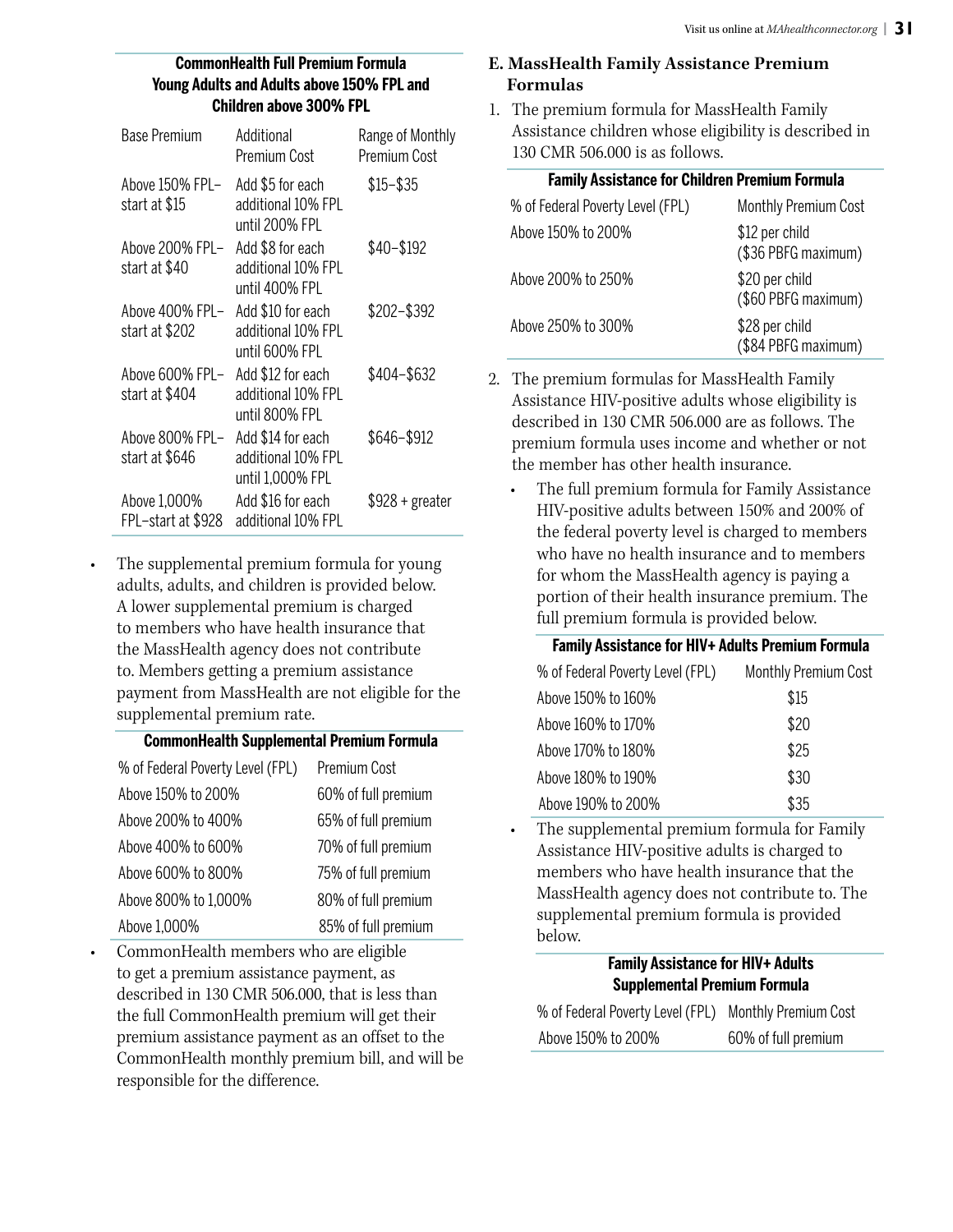#### **CommonHealth Full Premium Formula Young Adults and Adults above 150% FPL and Children above 300% FPL**

| <b>Base Premium</b>                | Additional<br>Premium Cost                                  | Range of Monthly<br>Premium Cost |
|------------------------------------|-------------------------------------------------------------|----------------------------------|
| Above 150% FPL–<br>start at \$15   | Add \$5 for each<br>additional 10% FPL<br>until 200% FPL    | $$15 - $35$                      |
| Above 200% FPL–<br>start at \$40   | Add \$8 for each<br>additional 10% FPL<br>until 400% FPL    | \$40-\$192                       |
| Above 400% FPL-<br>start at \$202  | Add \$10 for each<br>additional 10% FPL<br>until 600% FPL   | \$202-\$392                      |
| Above 600% FPL-<br>start at \$404  | Add \$12 for each<br>additional 10% FPL<br>until 800% FPL   | \$404-\$632                      |
| Above 800% FPL-<br>start at \$646  | Add \$14 for each<br>additional 10% FPL<br>until 1,000% FPL | \$646-\$912                      |
| Above 1,000%<br>FPL-start at \$928 | Add \$16 for each<br>additional 10% FPL                     | \$928 + greater                  |

The supplemental premium formula for young adults, adults, and children is provided below. A lower supplemental premium is charged to members who have health insurance that the MassHealth agency does not contribute to. Members getting a premium assistance payment from MassHealth are not eligible for the supplemental premium rate.

#### **CommonHealth Supplemental Premium Formula**

| % of Federal Poverty Level (FPL) | Premium Cost        |
|----------------------------------|---------------------|
| Above 150% to 200%               | 60% of full premium |
| Above 200% to 400%               | 65% of full premium |
| Above 400% to 600%               | 70% of full premium |
| Above 600% to 800%               | 75% of full premium |
| Above 800% to 1,000%             | 80% of full premium |
| Above 1,000%                     | 85% of full premium |

• CommonHealth members who are eligible to get a premium assistance payment, as described in 130 CMR 506.000, that is less than the full CommonHealth premium will get their premium assistance payment as an offset to the CommonHealth monthly premium bill, and will be responsible for the difference.

# **E. MassHealth Family Assistance Premium Formulas**

1. The premium formula for MassHealth Family Assistance children whose eligibility is described in 130 CMR 506.000 is as follows.

| <b>Family Assistance for Children Premium Formula</b> |                                       |  |  |
|-------------------------------------------------------|---------------------------------------|--|--|
| % of Federal Poverty Level (FPL)                      | Monthly Premium Cost                  |  |  |
| Above 150% to 200%                                    | \$12 per child<br>(\$36 PBFG maximum) |  |  |
| Above 200% to 250%                                    | \$20 per child<br>(\$60 PBFG maximum) |  |  |
| Above 250% to 300%                                    | \$28 per child<br>(\$84 PBFG maximum) |  |  |

- 2. The premium formulas for MassHealth Family Assistance HIV-positive adults whose eligibility is described in 130 CMR 506.000 are as follows. The premium formula uses income and whether or not the member has other health insurance.
	- The full premium formula for Family Assistance HIV-positive adults between 150% and 200% of the federal poverty level is charged to members who have no health insurance and to members for whom the MassHealth agency is paying a portion of their health insurance premium. The full premium formula is provided below.

| <b>Family Assistance for HIV+ Adults Premium Formula</b> |                             |  |  |
|----------------------------------------------------------|-----------------------------|--|--|
| % of Federal Poverty Level (FPL)                         | <b>Monthly Premium Cost</b> |  |  |
| Above 150% to 160%                                       | \$15                        |  |  |
| Above 160% to 170%                                       | \$20                        |  |  |
| Above 170% to 180%                                       | \$25                        |  |  |
| Above 180% to 190%                                       | \$30                        |  |  |
| Above 190% to 200%                                       | \$35                        |  |  |

• The supplemental premium formula for Family Assistance HIV-positive adults is charged to members who have health insurance that the MassHealth agency does not contribute to. The supplemental premium formula is provided below.

# **Family Assistance for HIV+ Adults Supplemental Premium Formula**

| % of Federal Poverty Level (FPL) Monthly Premium Cost |                     |
|-------------------------------------------------------|---------------------|
| Above 150% to 200%                                    | 60% of full premium |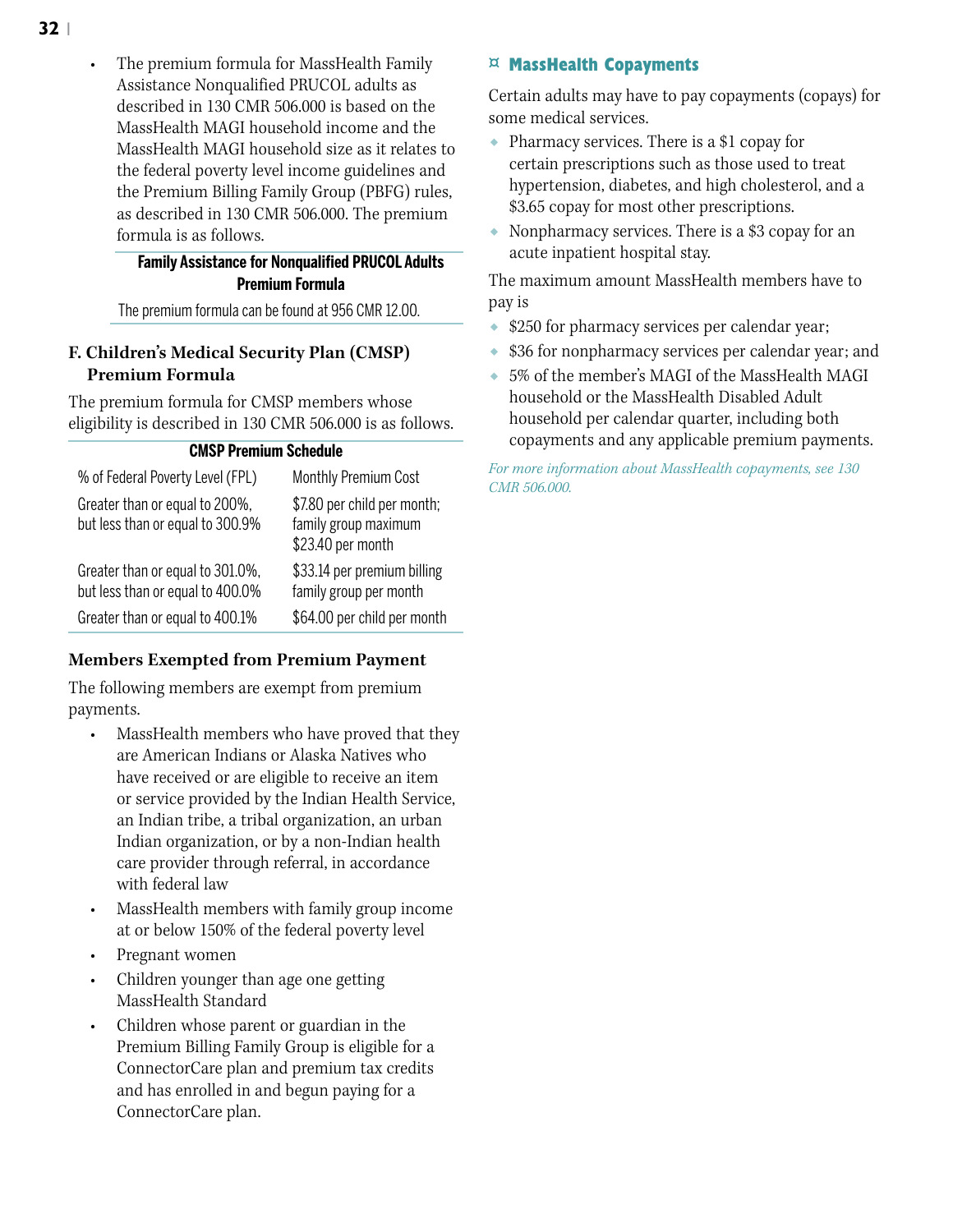#### **Family Assistance for Nonqualified PRUCOL Adults Premium Formula**

The premium formula can be found at 956 CMR 12.00.

### **F. Children's Medical Security Plan (CMSP) Premium Formula**

The premium formula for CMSP members whose eligibility is described in 130 CMR 506.000 is as follows.

#### **CMSP Premium Schedule**

| % of Federal Poverty Level (FPL)                                     | Monthly Premium Cost                                                     |
|----------------------------------------------------------------------|--------------------------------------------------------------------------|
| Greater than or equal to 200%,<br>but less than or equal to 300.9%   | \$7.80 per child per month;<br>family group maximum<br>\$23.40 per month |
| Greater than or equal to 301.0%,<br>but less than or equal to 400.0% | \$33.14 per premium billing<br>family group per month                    |
| Greater than or equal to 400.1%                                      | \$64.00 per child per month                                              |

# **Members Exempted from Premium Payment**

The following members are exempt from premium payments.

- MassHealth members who have proved that they are American Indians or Alaska Natives who have received or are eligible to receive an item or service provided by the Indian Health Service, an Indian tribe, a tribal organization, an urban Indian organization, or by a non-Indian health care provider through referral, in accordance with federal law
- MassHealth members with family group income at or below 150% of the federal poverty level
- Pregnant women
- Children younger than age one getting MassHealth Standard
- Children whose parent or guardian in the Premium Billing Family Group is eligible for a ConnectorCare plan and premium tax credits and has enrolled in and begun paying for a ConnectorCare plan.

#### **¤ MassHealth Copayments**

Certain adults may have to pay copayments (copays) for some medical services.

- ◆ Pharmacy services. There is a \$1 copay for certain prescriptions such as those used to treat hypertension, diabetes, and high cholesterol, and a \$3.65 copay for most other prescriptions.
- ◆ Nonpharmacy services. There is a \$3 copay for an acute inpatient hospital stay.

The maximum amount MassHealth members have to pay is

- \$250 for pharmacy services per calendar year;
- \$36 for nonpharmacy services per calendar year; and
- ◆ 5% of the member's MAGI of the MassHealth MAGI household or the MassHealth Disabled Adult household per calendar quarter, including both copayments and any applicable premium payments.

*For more information about MassHealth copayments, see 130 CMR 506.000.*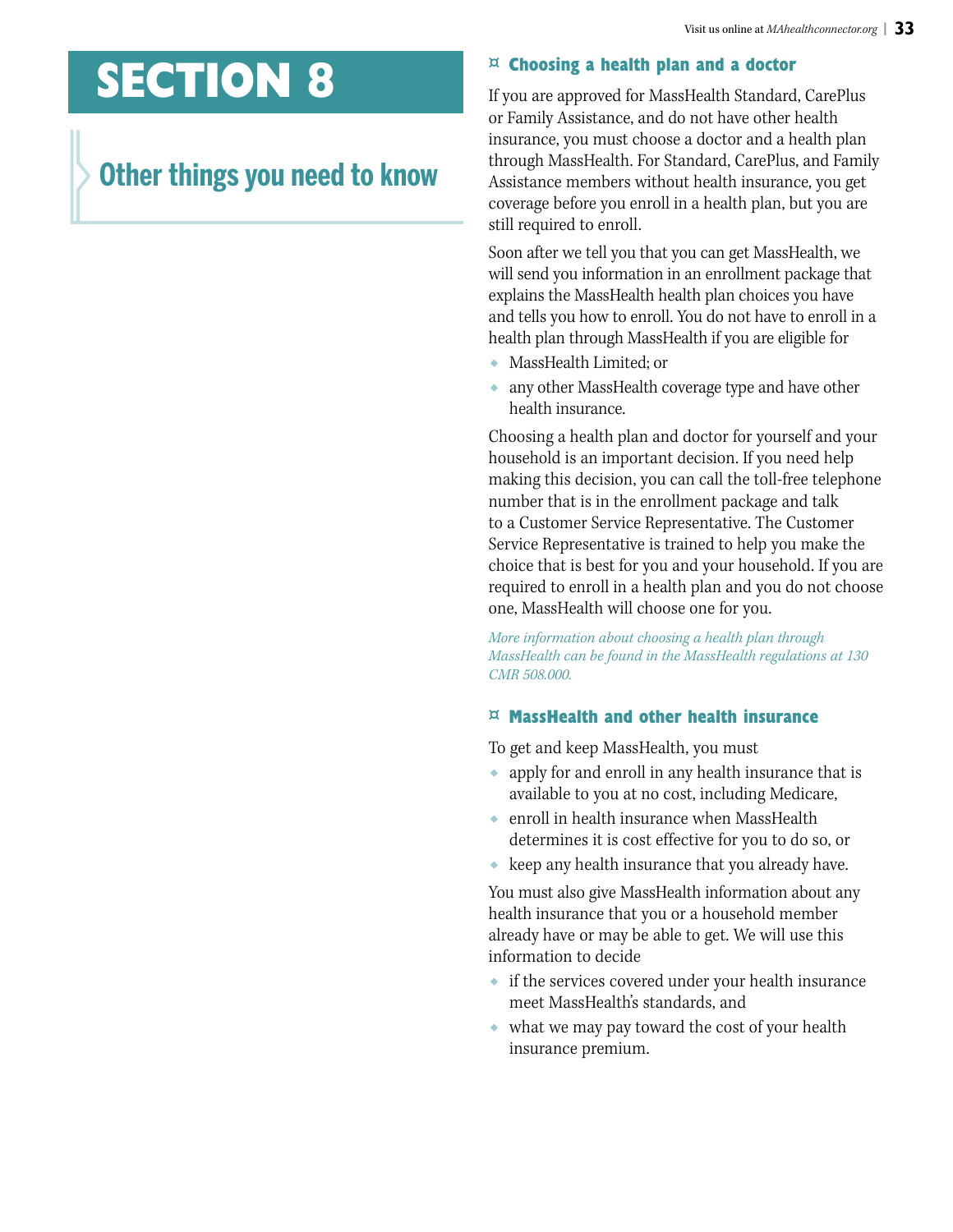# **SECTION 8**

# **Other things you need to know**

#### **¤ Choosing a health plan and a doctor**

If you are approved for MassHealth Standard, CarePlus or Family Assistance, and do not have other health insurance, you must choose a doctor and a health plan through MassHealth. For Standard, CarePlus, and Family Assistance members without health insurance, you get coverage before you enroll in a health plan, but you are still required to enroll.

Soon after we tell you that you can get MassHealth, we will send you information in an enrollment package that explains the MassHealth health plan choices you have and tells you how to enroll. You do not have to enroll in a health plan through MassHealth if you are eligible for

- MassHealth Limited; or
- ◆ any other MassHealth coverage type and have other health insurance.

Choosing a health plan and doctor for yourself and your household is an important decision. If you need help making this decision, you can call the toll-free telephone number that is in the enrollment package and talk to a Customer Service Representative. The Customer Service Representative is trained to help you make the choice that is best for you and your household. If you are required to enroll in a health plan and you do not choose one, MassHealth will choose one for you.

*More information about choosing a health plan through MassHealth can be found in the MassHealth regulations at 130 CMR 508.000.*

#### **¤ MassHealth and other health insurance**

To get and keep MassHealth, you must

- ◆ apply for and enroll in any health insurance that is available to you at no cost, including Medicare,
- ◆ enroll in health insurance when MassHealth determines it is cost effective for you to do so, or
- ◆ keep any health insurance that you already have.

You must also give MassHealth information about any health insurance that you or a household member already have or may be able to get. We will use this information to decide

- ◆ if the services covered under your health insurance meet MassHealth's standards, and
- ◆ what we may pay toward the cost of your health insurance premium.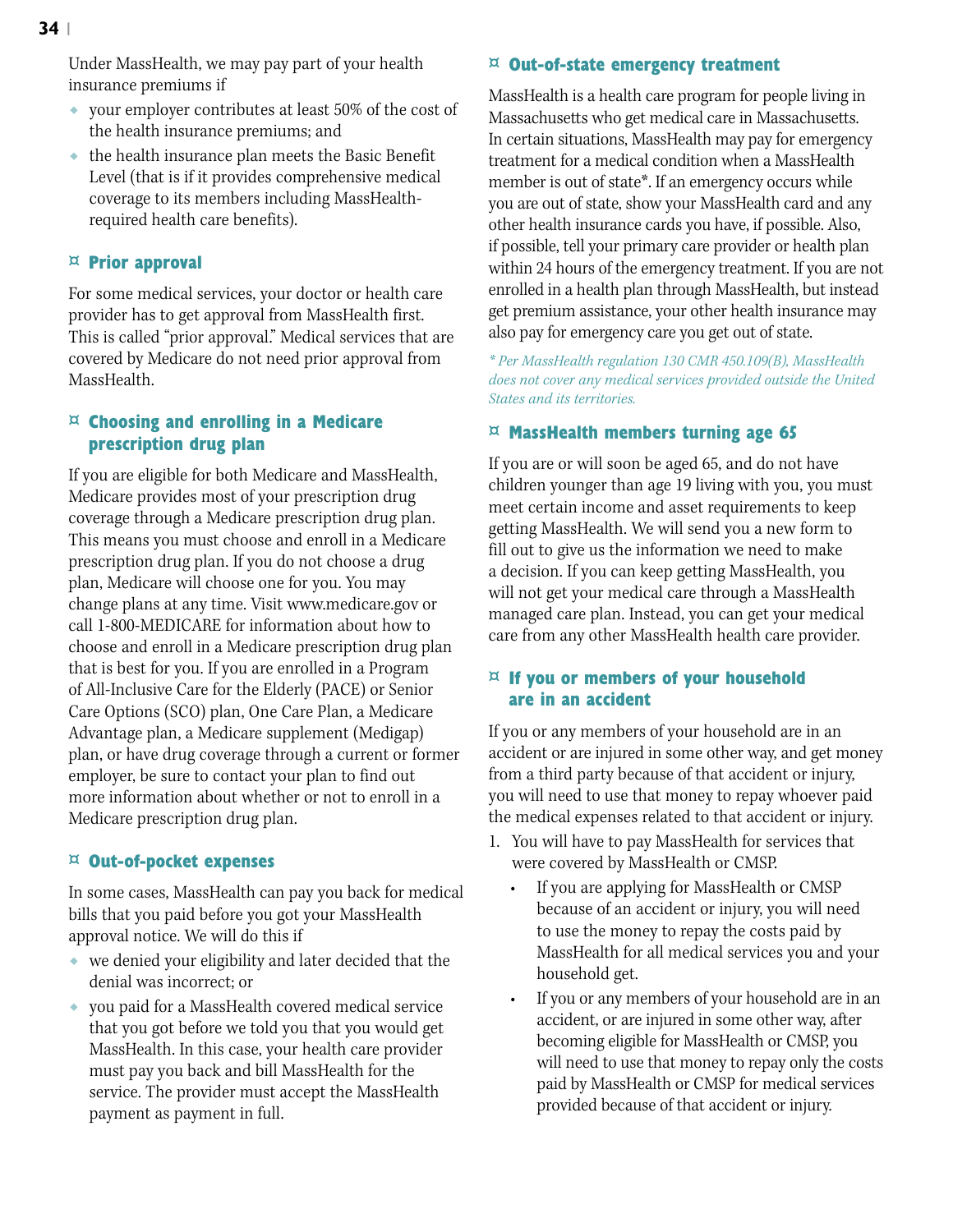Under MassHealth, we may pay part of your health insurance premiums if

- ◆ your employer contributes at least 50% of the cost of the health insurance premiums; and
- ◆ the health insurance plan meets the Basic Benefit Level (that is if it provides comprehensive medical coverage to its members including MassHealthrequired health care benefits).

#### **¤ Prior approval**

For some medical services, your doctor or health care provider has to get approval from MassHealth first. This is called "prior approval." Medical services that are covered by Medicare do not need prior approval from MassHealth.

### **¤ Choosing and enrolling in a Medicare prescription drug plan**

If you are eligible for both Medicare and MassHealth, Medicare provides most of your prescription drug coverage through a Medicare prescription drug plan. This means you must choose and enroll in a Medicare prescription drug plan. If you do not choose a drug plan, Medicare will choose one for you. You may change plans at any time. Visit www.medicare.gov or call 1-800-MEDICARE for information about how to choose and enroll in a Medicare prescription drug plan that is best for you. If you are enrolled in a Program of All-Inclusive Care for the Elderly (PACE) or Senior Care Options (SCO) plan, One Care Plan, a Medicare Advantage plan, a Medicare supplement (Medigap) plan, or have drug coverage through a current or former employer, be sure to contact your plan to find out more information about whether or not to enroll in a Medicare prescription drug plan.

#### **¤ Out-of-pocket expenses**

In some cases, MassHealth can pay you back for medical bills that you paid before you got your MassHealth approval notice. We will do this if

- ◆ we denied your eligibility and later decided that the denial was incorrect; or
- ◆ you paid for a MassHealth covered medical service that you got before we told you that you would get MassHealth. In this case, your health care provider must pay you back and bill MassHealth for the service. The provider must accept the MassHealth payment as payment in full.

#### **¤ Out-of-state emergency treatment**

MassHealth is a health care program for people living in Massachusetts who get medical care in Massachusetts. In certain situations, MassHealth may pay for emergency treatment for a medical condition when a MassHealth member is out of state\*. If an emergency occurs while you are out of state, show your MassHealth card and any other health insurance cards you have, if possible. Also, if possible, tell your primary care provider or health plan within 24 hours of the emergency treatment. If you are not enrolled in a health plan through MassHealth, but instead get premium assistance, your other health insurance may also pay for emergency care you get out of state.

*\* Per MassHealth regulation 130 CMR 450.109(B), MassHealth does not cover any medical services provided outside the United States and its territories.*

#### **¤ MassHealth members turning age 65**

If you are or will soon be aged 65, and do not have children younger than age 19 living with you, you must meet certain income and asset requirements to keep getting MassHealth. We will send you a new form to fill out to give us the information we need to make a decision. If you can keep getting MassHealth, you will not get your medical care through a MassHealth managed care plan. Instead, you can get your medical care from any other MassHealth health care provider.

#### **¤ If you or members of your household are in an accident**

If you or any members of your household are in an accident or are injured in some other way, and get money from a third party because of that accident or injury, you will need to use that money to repay whoever paid the medical expenses related to that accident or injury.

- 1. You will have to pay MassHealth for services that were covered by MassHealth or CMSP.
	- If you are applying for MassHealth or CMSP because of an accident or injury, you will need to use the money to repay the costs paid by MassHealth for all medical services you and your household get.
	- If you or any members of your household are in an accident, or are injured in some other way, after becoming eligible for MassHealth or CMSP, you will need to use that money to repay only the costs paid by MassHealth or CMSP for medical services provided because of that accident or injury.